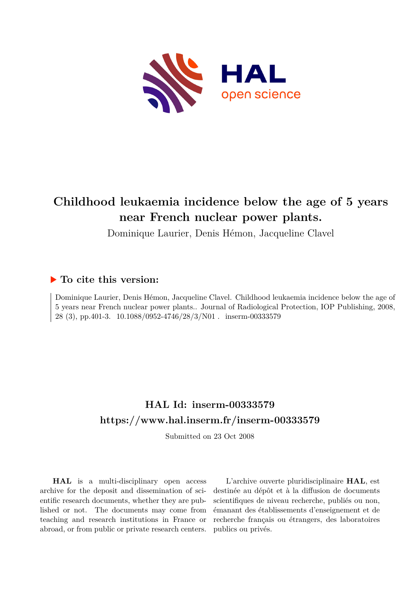

# **Childhood leukaemia incidence below the age of 5 years near French nuclear power plants.**

Dominique Laurier, Denis Hémon, Jacqueline Clavel

### **To cite this version:**

Dominique Laurier, Denis Hémon, Jacqueline Clavel. Childhood leukaemia incidence below the age of 5 years near French nuclear power plants.. Journal of Radiological Protection, IOP Publishing, 2008, 28 (3), pp.401-3. 10.1088/0952-4746/28/3/N01. inserm-00333579

# **HAL Id: inserm-00333579 <https://www.hal.inserm.fr/inserm-00333579>**

Submitted on 23 Oct 2008

**HAL** is a multi-disciplinary open access archive for the deposit and dissemination of scientific research documents, whether they are published or not. The documents may come from teaching and research institutions in France or abroad, or from public or private research centers.

L'archive ouverte pluridisciplinaire **HAL**, est destinée au dépôt et à la diffusion de documents scientifiques de niveau recherche, publiés ou non, émanant des établissements d'enseignement et de recherche français ou étrangers, des laboratoires publics ou privés.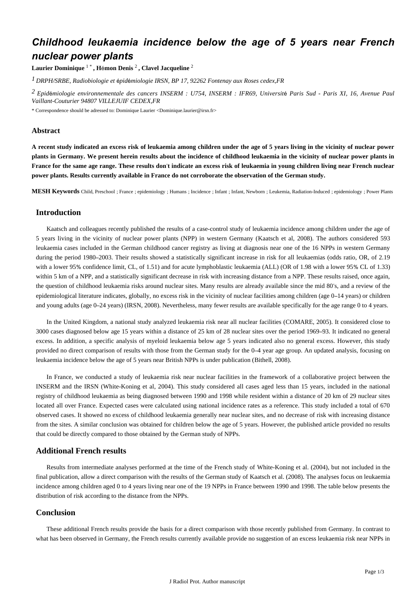## *Childhood leukaemia incidence below the age of 5 years near French nuclear power plants*

 $L$ aurier Dominique  $1$   $^*$  , Hémon Denis  $^2$  , Clavel Jacqueline  $^2$ 

<sup>1</sup> DRPH/SRBE, Radiobiologie et épidémiologie IRSN, BP 17, 92262 Fontenay aux Roses cedex, FR

<sup>2</sup> Epidémiologie environnementale des cancers INSERM : U754, INSERM : IFR69, Université Paris Sud - Paris XI, 16, Avenue Paul *Vaillant-Couturier 94807 VILLEJUIF CEDEX,FR*

\* Correspondence should be adressed to: Dominique Laurier <Dominique.laurier@irsn.fr>

#### **Abstract**

**A recent study indicated an excess risk of leukaemia among children under the age of 5 years living in the vicinity of nuclear power plants in Germany. We present herein results about the incidence of childhood leukaemia in the vicinity of nuclear power plants in** France for the same age range. These results don't indicate an excess risk of leukaemia in young children living near French nuclear **power plants. Results currently available in France do not corroborate the observation of the German study.**

**MESH Keywords** Child, Preschool ; France ; epidemiology ; Humans ; Incidence ; Infant ; Infant, Newborn ; Leukemia, Radiation-Induced ; epidemiology ; Power Plants

### **Introduction**

Kaatsch and colleagues recently published the results of a case-control study of leukaemia incidence among children under the age of 5 years living in the vicinity of nuclear power plants (NPP) in western Germany (Kaatsch et al, 2008). The authors considered 593 leukaemia cases included in the German childhood cancer registry as living at diagnosis near one of the 16 NPPs in western Germany during the period 1980–2003. Their results showed a statistically significant increase in risk for all leukaemias (odds ratio, OR, of 2.19 with a lower 95% confidence limit, CL, of 1.51) and for acute lymphoblastic leukaemia (ALL) (OR of 1.98 with a lower 95% CL of 1.33) within 5 km of a NPP, and a statistically significant decrease in risk with increasing distance from a NPP. These results raised, once again, the question of childhood leukaemia risks around nuclear sites. Many results are already available since the mid 80's, and a review of the epidemiological literature indicates, globally, no excess risk in the vicinity of nuclear facilities among children (age 0-14 years) or children and young adults (age 0-24 years) (IRSN, 2008). Nevertheless, many fewer results are available specifically for the age range 0 to 4 years.

In the United Kingdom, a national study analyzed leukaemia risk near all nuclear facilities (COMARE, 2005). It considered close to 3000 cases diagnosed below age 15 years within a distance of 25 km of 28 nuclear sites over the period 1969 93. It indicated no general – excess. In addition, a specific analysis of myeloid leukaemia below age 5 years indicated also no general excess. However, this study provided no direct comparison of results with those from the German study for the 0-4 year age group. An updated analysis, focusing on leukaemia incidence below the age of 5 years near British NPPs is under publication (Bithell, 2008).

In France, we conducted a study of leukaemia risk near nuclear facilities in the framework of a collaborative project between the INSERM and the IRSN (White-Koning et al. 2004). This study considered all cases aged less than 15 years, included in the national registry of childhood leukaemia as being diagnosed between 1990 and 1998 while resident within a distance of 20 km of 29 nuclear sites located all over France. Expected cases were calculated using national incidence rates as a reference. This study included a total of 670 observed cases. It showed no excess of childhood leukaemia generally near nuclear sites, and no decrease of risk with increasing distance from the sites. A similar conclusion was obtained for children below the age of 5 years. However, the published article provided no results that could be directly compared to those obtained by the German study of NPPs.

#### **Additional French results**

Results from intermediate analyses performed at the time of the French study of White-Koning et al. (2004), but not included in the final publication, allow a direct comparison with the results of the German study of Kaatsch et al. (2008). The analyses focus on leukaemia incidence among children aged 0 to 4 years living near one of the 19 NPPs in France between 1990 and 1998. The table below presents the distribution of risk according to the distance from the NPPs.

### **Conclusion**

These additional French results provide the basis for a direct comparison with those recently published from Germany. In contrast to what has been observed in Germany, the French results currently available provide no suggestion of an excess leukaemia risk near NPPs in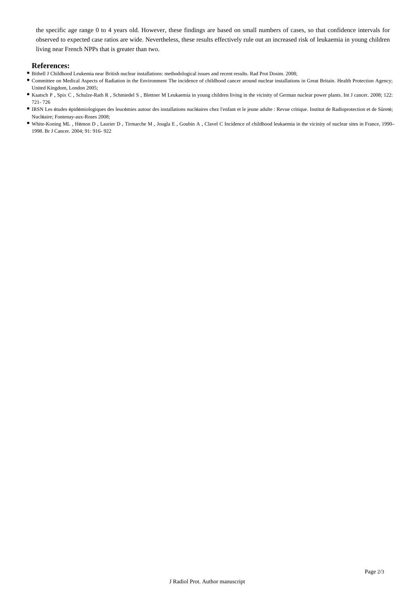the specific age range 0 to 4 years old. However, these findings are based on small numbers of cases, so that confidence intervals for observed to expected case ratios are wide. Nevertheless, these results effectively rule out an increased risk of leukaemia in young children living near French NPPs that is greater than two.

#### **References:**

- Bithell J Childhood Leukemia near British nuclear installations: methodological issues and recent results. Rad Prot Dosim. 2008;
- Committee on Medical Aspects of Radiation in the Environment The incidence of childhood cancer around nuclear installations in Great Britain. Health Protection Agency; United Kingdom, London 2005;
- Kaatsch P , Spix C , Schulze-Rath R , Schmiedel S , Blettner M Leukaemia in young children living in the vicinity of German nuclear power plants. Int J cancer. 2008; 12 2: 721- 726
- · IRSN Les études épidémiologiques des leucémies autour des installations nucléaires chez l'enfant et le jeune adulte : Revue critique. Institut de Radioprotection et de Sûreté; Nucléaire; Fontenay-aux-Roses 2008;
- White-Koning ML, Hémon D, Laurier D, Tirmarche M, Jougla E, Goubin A, Clavel C Incidence of childhood leukaemia in the vicinity of nuclear sites in France, 1990-1998. Br J Cancer. 2004; 91: 916- 922